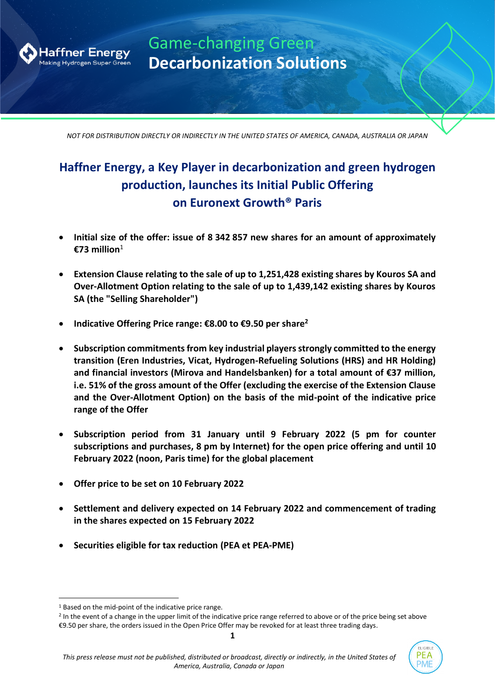

Game-changing Green **Decarbonization Solutions**

*NOT FOR DISTRIBUTION DIRECTLY OR INDIRECTLY IN THE UNITED STATES OF AMERICA, CANADA, AUSTRALIA OR JAPAN*

# **Haffner Energy, a Key Player in decarbonization and green hydrogen production, launches its Initial Public Offering on Euronext Growth® Paris**

- **Initial size of the offer: issue of 8 342 857 new shares for an amount of approximately €73 million**<sup>1</sup>
- **Extension Clause relating to the sale of up to 1,251,428 existing shares by Kouros SA and Over-Allotment Option relating to the sale of up to 1,439,142 existing shares by Kouros SA (the "Selling Shareholder")**
- **Indicative Offering Price range: €8.00 to €9.50 per share<sup>2</sup>**
- **Subscription commitments from key industrial players strongly committed to the energy transition (Eren Industries, Vicat, Hydrogen-Refueling Solutions (HRS) and HR Holding) and financial investors (Mirova and Handelsbanken) for a total amount of €37 million, i.e. 51% of the gross amount of the Offer (excluding the exercise of the Extension Clause and the Over-Allotment Option) on the basis of the mid-point of the indicative price range of the Offer**
- **Subscription period from 31 January until 9 February 2022 (5 pm for counter subscriptions and purchases, 8 pm by Internet) for the open price offering and until 10 February 2022 (noon, Paris time) for the global placement**
- **Offer price to be set on 10 February 2022**
- **Settlement and delivery expected on 14 February 2022 and commencement of trading in the shares expected on 15 February 2022**
- **Securities eligible for tax reduction (PEA et PEA-PME)**

<sup>1</sup> Based on the mid-point of the indicative price range.

<sup>&</sup>lt;sup>2</sup> In the event of a change in the upper limit of the indicative price range referred to above or of the price being set above €9.50 per share, the orders issued in the Open Price Offer may be revoked for at least three trading days.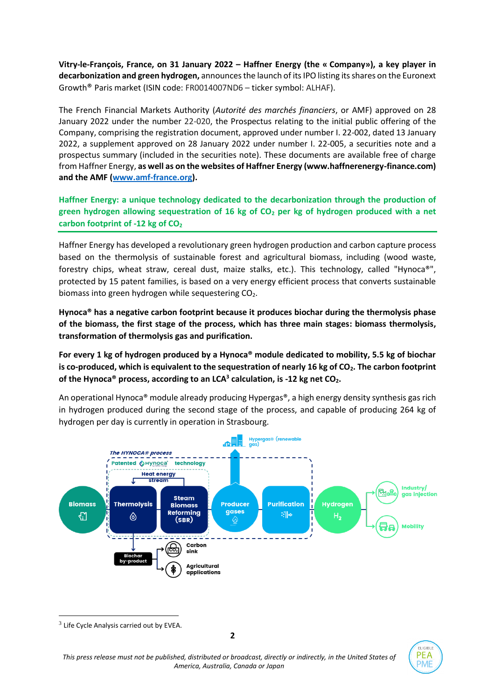**Vitry-le-François, France, on 31 January 2022 – Haffner Energy (the « Company»), a key player in decarbonization and green hydrogen,** announces the launch of its IPO listing its shares on the Euronext Growth® Paris market (ISIN code: FR0014007ND6 – ticker symbol: ALHAF).

The French Financial Markets Authority (*Autorité des marchés financiers*, or AMF) approved on 28 January 2022 under the number 22-020, the Prospectus relating to the initial public offering of the Company, comprising the registration document, approved under number I. 22-002, dated 13 January 2022, a supplement approved on 28 January 2022 under number I. 22-005, a securities note and a prospectus summary (included in the securities note). These documents are available free of charge from Haffner Energy, **as well as on the websites of Haffner Energy (www.haffnerenergy-finance.com) and the AMF [\(www.amf-france.org\)](http://www.amf-france.org/).**

**Haffner Energy: a unique technology dedicated to the decarbonization through the production of green hydrogen allowing sequestration of 16 kg of CO<sup>2</sup> per kg of hydrogen produced with a net**  carbon footprint of -12 kg of CO<sub>2</sub>

Haffner Energy has developed a revolutionary green hydrogen production and carbon capture process based on the thermolysis of sustainable forest and agricultural biomass, including (wood waste, forestry chips, wheat straw, cereal dust, maize stalks, etc.). This technology, called "Hynoca®", protected by 15 patent families, is based on a very energy efficient process that converts sustainable biomass into green hydrogen while sequestering CO<sub>2</sub>.

**Hynoca® has a negative carbon footprint because it produces biochar during the thermolysis phase of the biomass, the first stage of the process, which has three main stages: biomass thermolysis, transformation of thermolysis gas and purification.**

**For every 1 kg of hydrogen produced by a Hynoca® module dedicated to mobility, 5.5 kg of biochar is co-produced, which is equivalent to the sequestration of nearly 16 kg of CO2. The carbon footprint of the Hynoca® process, according to an LCA<sup>3</sup> calculation, is -12 kg net CO2.**

An operational Hynoca® module already producing Hypergas®, a high energy density synthesis gas rich in hydrogen produced during the second stage of the process, and capable of producing 264 kg of hydrogen per day is currently in operation in Strasbourg.





**2**

 $3$  Life Cycle Analysis carried out by EVEA.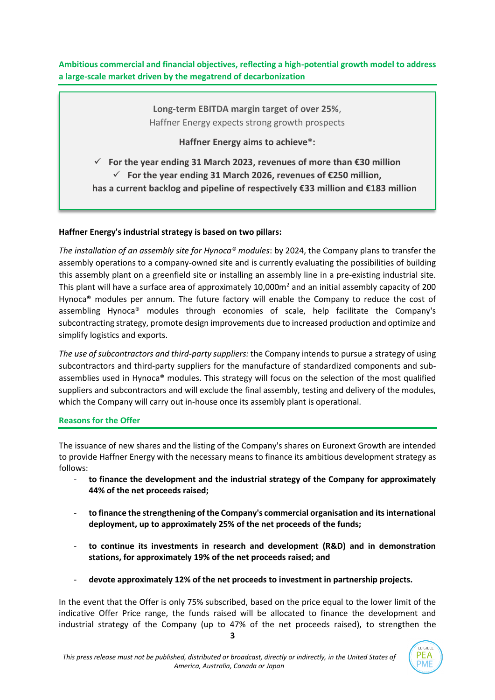**Ambitious commercial and financial objectives, reflecting a high-potential growth model to address a large-scale market driven by the megatrend of decarbonization**

> **Long-term EBITDA margin target of over 25%**, Haffner Energy expects strong growth prospects

> > **Haffner Energy aims to achieve\*:**

✓ **For the year ending 31 March 2023, revenues of more than €30 million** ✓ **For the year ending 31 March 2026, revenues of €250 million, has a current backlog and pipeline of respectively €33 million and €183 million**

# **Haffner Energy's industrial strategy is based on two pillars:**

*The installation of an assembly site for Hynoca® modules*: by 2024, the Company plans to transfer the assembly operations to a company-owned site and is currently evaluating the possibilities of building this assembly plant on a greenfield site or installing an assembly line in a pre-existing industrial site. This plant will have a surface area of approximately 10,000 $m<sup>2</sup>$  and an initial assembly capacity of 200 Hynoca® modules per annum. The future factory will enable the Company to reduce the cost of assembling Hynoca® modules through economies of scale, help facilitate the Company's subcontracting strategy, promote design improvements due to increased production and optimize and simplify logistics and exports.

*The use of subcontractors and third-party suppliers:* the Company intends to pursue a strategy of using subcontractors and third-party suppliers for the manufacture of standardized components and subassemblies used in Hynoca® modules. This strategy will focus on the selection of the most qualified suppliers and subcontractors and will exclude the final assembly, testing and delivery of the modules, which the Company will carry out in-house once its assembly plant is operational.

# **Reasons for the Offer**

The issuance of new shares and the listing of the Company's shares on Euronext Growth are intended to provide Haffner Energy with the necessary means to finance its ambitious development strategy as follows:

- **to finance the development and the industrial strategy of the Company for approximately 44% of the net proceeds raised;**
- **to finance the strengthening of the Company's commercial organisation and its international deployment, up to approximately 25% of the net proceeds of the funds;**
- to continue its investments in research and development (R&D) and in demonstration **stations, for approximately 19% of the net proceeds raised; and**
- **devote approximately 12% of the net proceeds to investment in partnership projects.**

In the event that the Offer is only 75% subscribed, based on the price equal to the lower limit of the indicative Offer Price range, the funds raised will be allocated to finance the development and industrial strategy of the Company (up to 47% of the net proceeds raised), to strengthen the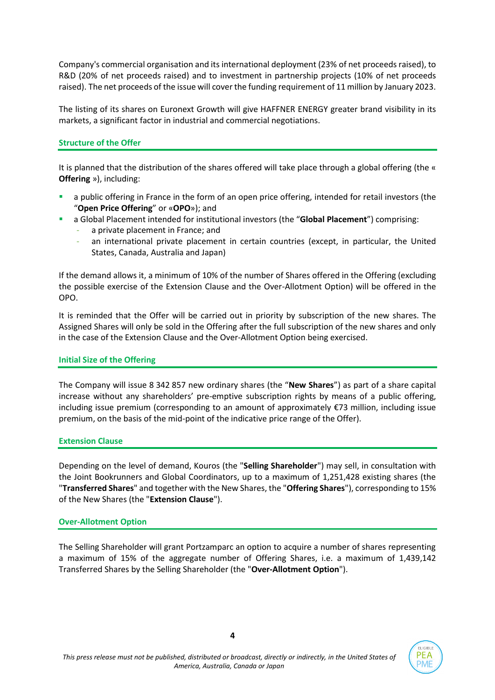Company's commercial organisation and its international deployment (23% of net proceeds raised), to R&D (20% of net proceeds raised) and to investment in partnership projects (10% of net proceeds raised). The net proceeds of the issue will cover the funding requirement of 11 million by January 2023.

The listing of its shares on Euronext Growth will give HAFFNER ENERGY greater brand visibility in its markets, a significant factor in industrial and commercial negotiations.

# **Structure of the Offer**

It is planned that the distribution of the shares offered will take place through a global offering (the « **Offering** »), including:

- a public offering in France in the form of an open price offering, intended for retail investors (the "**Open Price Offering**" or «**OPO**»); and
- a Global Placement intended for institutional investors (the "**Global Placement**") comprising:
	- a private placement in France; and
	- an international private placement in certain countries (except, in particular, the United States, Canada, Australia and Japan)

If the demand allows it, a minimum of 10% of the number of Shares offered in the Offering (excluding the possible exercise of the Extension Clause and the Over-Allotment Option) will be offered in the OPO.

It is reminded that the Offer will be carried out in priority by subscription of the new shares. The Assigned Shares will only be sold in the Offering after the full subscription of the new shares and only in the case of the Extension Clause and the Over-Allotment Option being exercised.

# **Initial Size of the Offering**

The Company will issue 8 342 857 new ordinary shares (the "**New Shares**") as part of a share capital increase without any shareholders' pre-emptive subscription rights by means of a public offering, including issue premium (corresponding to an amount of approximately €73 million, including issue premium, on the basis of the mid-point of the indicative price range of the Offer).

# **Extension Clause**

Depending on the level of demand, Kouros (the "**Selling Shareholder**") may sell, in consultation with the Joint Bookrunners and Global Coordinators, up to a maximum of 1,251,428 existing shares (the "**Transferred Shares**" and together with the New Shares, the "**Offering Shares**"), corresponding to 15% of the New Shares (the "**Extension Clause**").

# **Over-Allotment Option**

The Selling Shareholder will grant Portzamparc an option to acquire a number of shares representing a maximum of 15% of the aggregate number of Offering Shares, i.e. a maximum of 1,439,142 Transferred Shares by the Selling Shareholder (the "**Over-Allotment Option**").

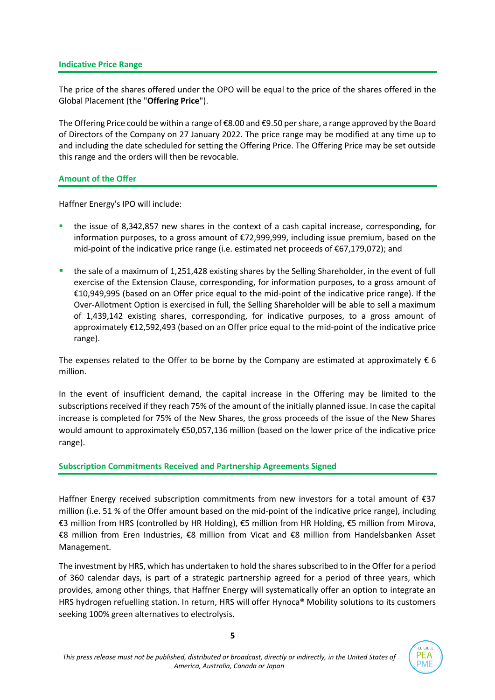### **Indicative Price Range**

The price of the shares offered under the OPO will be equal to the price of the shares offered in the Global Placement (the "**Offering Price**").

The Offering Price could be within a range of €8.00 and €9.50 per share, a range approved by the Board of Directors of the Company on 27 January 2022. The price range may be modified at any time up to and including the date scheduled for setting the Offering Price. The Offering Price may be set outside this range and the orders will then be revocable.

## **Amount of the Offer**

Haffner Energy's IPO will include:

- the issue of 8,342,857 new shares in the context of a cash capital increase, corresponding, for information purposes, to a gross amount of €72,999,999, including issue premium, based on the mid-point of the indicative price range (i.e. estimated net proceeds of €67,179,072); and
- the sale of a maximum of 1,251,428 existing shares by the Selling Shareholder, in the event of full exercise of the Extension Clause, corresponding, for information purposes, to a gross amount of €10,949,995 (based on an Offer price equal to the mid-point of the indicative price range). If the Over-Allotment Option is exercised in full, the Selling Shareholder will be able to sell a maximum of 1,439,142 existing shares, corresponding, for indicative purposes, to a gross amount of approximately €12,592,493 (based on an Offer price equal to the mid-point of the indicative price range).

The expenses related to the Offer to be borne by the Company are estimated at approximately  $\epsilon$  6 million.

In the event of insufficient demand, the capital increase in the Offering may be limited to the subscriptions received if they reach 75% of the amount of the initially planned issue. In case the capital increase is completed for 75% of the New Shares, the gross proceeds of the issue of the New Shares would amount to approximately €50,057,136 million (based on the lower price of the indicative price range).

# **Subscription Commitments Received and Partnership Agreements Signed**

Haffner Energy received subscription commitments from new investors for a total amount of €37 million (i.e. 51 % of the Offer amount based on the mid-point of the indicative price range), including €3 million from HRS (controlled by HR Holding), €5 million from HR Holding, €5 million from Mirova, €8 million from Eren Industries, €8 million from Vicat and €8 million from Handelsbanken Asset Management.

The investment by HRS, which has undertaken to hold the shares subscribed to in the Offer for a period of 360 calendar days, is part of a strategic partnership agreed for a period of three years, which provides, among other things, that Haffner Energy will systematically offer an option to integrate an HRS hydrogen refuelling station. In return, HRS will offer Hynoca® Mobility solutions to its customers seeking 100% green alternatives to electrolysis.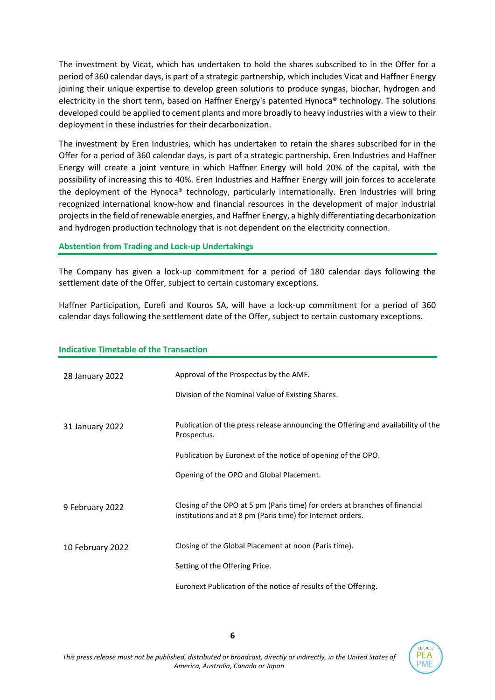The investment by Vicat, which has undertaken to hold the shares subscribed to in the Offer for a period of 360 calendar days, is part of a strategic partnership, which includes Vicat and Haffner Energy joining their unique expertise to develop green solutions to produce syngas, biochar, hydrogen and electricity in the short term, based on Haffner Energy's patented Hynoca® technology. The solutions developed could be applied to cement plants and more broadly to heavy industries with a view to their deployment in these industries for their decarbonization.

The investment by Eren Industries, which has undertaken to retain the shares subscribed for in the Offer for a period of 360 calendar days, is part of a strategic partnership. Eren Industries and Haffner Energy will create a joint venture in which Haffner Energy will hold 20% of the capital, with the possibility of increasing this to 40%. Eren Industries and Haffner Energy will join forces to accelerate the deployment of the Hynoca® technology, particularly internationally. Eren Industries will bring recognized international know-how and financial resources in the development of major industrial projects in the field of renewable energies, and Haffner Energy, a highly differentiating decarbonization and hydrogen production technology that is not dependent on the electricity connection.

## **Abstention from Trading and Lock-up Undertakings**

The Company has given a lock-up commitment for a period of 180 calendar days following the settlement date of the Offer, subject to certain customary exceptions.

Haffner Participation, Eurefi and Kouros SA, will have a lock-up commitment for a period of 360 calendar days following the settlement date of the Offer, subject to certain customary exceptions.

| 28 January 2022  | Approval of the Prospectus by the AMF.                                                                                                    |
|------------------|-------------------------------------------------------------------------------------------------------------------------------------------|
|                  | Division of the Nominal Value of Existing Shares.                                                                                         |
| 31 January 2022  | Publication of the press release announcing the Offering and availability of the<br>Prospectus.                                           |
|                  | Publication by Euronext of the notice of opening of the OPO.                                                                              |
|                  | Opening of the OPO and Global Placement.                                                                                                  |
| 9 February 2022  | Closing of the OPO at 5 pm (Paris time) for orders at branches of financial<br>institutions and at 8 pm (Paris time) for Internet orders. |
| 10 February 2022 | Closing of the Global Placement at noon (Paris time).                                                                                     |
|                  | Setting of the Offering Price.                                                                                                            |
|                  | Euronext Publication of the notice of results of the Offering.                                                                            |

## **Indicative Timetable of the Transaction**

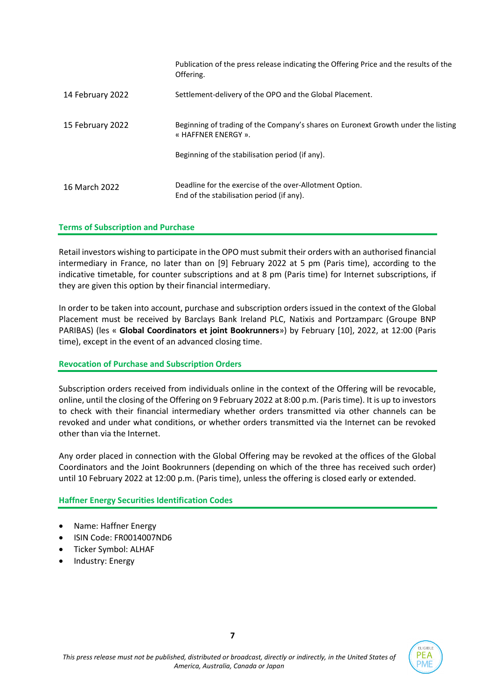|                  | Publication of the press release indicating the Offering Price and the results of the<br>Offering.       |
|------------------|----------------------------------------------------------------------------------------------------------|
| 14 February 2022 | Settlement-delivery of the OPO and the Global Placement.                                                 |
| 15 February 2022 | Beginning of trading of the Company's shares on Euronext Growth under the listing<br>« HAFFNER ENERGY ». |
|                  | Beginning of the stabilisation period (if any).                                                          |
| 16 March 2022    | Deadline for the exercise of the over-Allotment Option.<br>End of the stabilisation period (if any).     |

## **Terms of Subscription and Purchase**

Retail investors wishing to participate in the OPO must submit their orders with an authorised financial intermediary in France, no later than on [9] February 2022 at 5 pm (Paris time), according to the indicative timetable, for counter subscriptions and at 8 pm (Paris time) for Internet subscriptions, if they are given this option by their financial intermediary.

In order to be taken into account, purchase and subscription orders issued in the context of the Global Placement must be received by Barclays Bank Ireland PLC, Natixis and Portzamparc (Groupe BNP PARIBAS) (les « **Global Coordinators et joint Bookrunners**») by February [10], 2022, at 12:00 (Paris time), except in the event of an advanced closing time.

# **Revocation of Purchase and Subscription Orders**

Subscription orders received from individuals online in the context of the Offering will be revocable, online, until the closing of the Offering on 9 February 2022 at 8:00 p.m. (Paris time). It is up to investors to check with their financial intermediary whether orders transmitted via other channels can be revoked and under what conditions, or whether orders transmitted via the Internet can be revoked other than via the Internet.

Any order placed in connection with the Global Offering may be revoked at the offices of the Global Coordinators and the Joint Bookrunners (depending on which of the three has received such order) until 10 February 2022 at 12:00 p.m. (Paris time), unless the offering is closed early or extended.

**Haffner Energy Securities Identification Codes**

- Name: Haffner Energy
- ISIN Code: FR0014007ND6
- Ticker Symbol: ALHAF
- Industry: Energy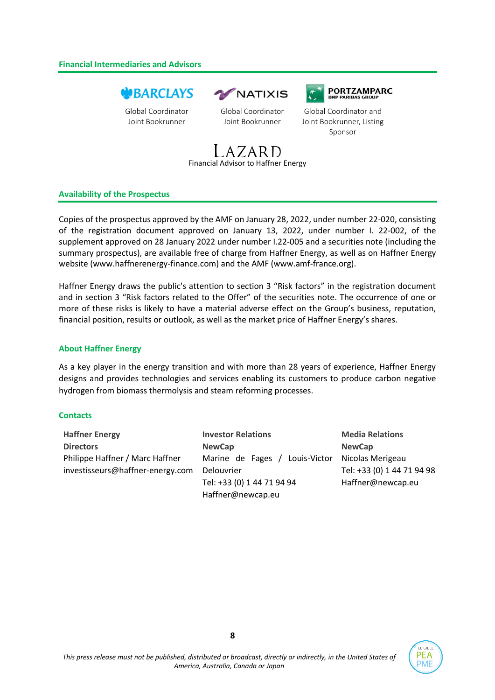### **Financial Intermediaries and Advisors**

# **WBARCLAYS**

Global Coordinator Joint Bookrunner



Global Coordinator Joint Bookrunner





Global Coordinator and Joint Bookrunner, Listing Sponsor



### **Availability of the Prospectus**

Copies of the prospectus approved by the AMF on January 28, 2022, under number 22-020, consisting of the registration document approved on January 13, 2022, under number I. 22-002, of the supplement approved on 28 January 2022 under number I.22-005 and a securities note (including the summary prospectus), are available free of charge from Haffner Energy, as well as on Haffner Energy website (www.haffnerenergy-finance.com) and the AMF (www.amf-france.org).

Haffner Energy draws the public's attention to section 3 "Risk factors" in the registration document and in section 3 "Risk factors related to the Offer" of the securities note. The occurrence of one or more of these risks is likely to have a material adverse effect on the Group's business, reputation, financial position, results or outlook, as well as the market price of Haffner Energy's shares.

### **About Haffner Energy**

As a key player in the energy transition and with more than 28 years of experience, Haffner Energy designs and provides technologies and services enabling its customers to produce carbon negative hydrogen from biomass thermolysis and steam reforming processes.

#### **Contacts**

| <b>Haffner Energy</b>            | <b>Investor Relations</b>       | <b>Media Relations</b>     |
|----------------------------------|---------------------------------|----------------------------|
| <b>Directors</b>                 | <b>NewCap</b>                   | <b>NewCap</b>              |
| Philippe Haffner / Marc Haffner  | Louis-Victor<br>Marine de Fages | Nicolas Merigeau           |
| investisseurs@haffner-energy.com | Delouvrier                      | Tel: +33 (0) 1 44 71 94 98 |
|                                  | Tel: +33 (0) 1 44 71 94 94      | Haffner@newcap.eu          |
|                                  | Haffner@newcap.eu               |                            |

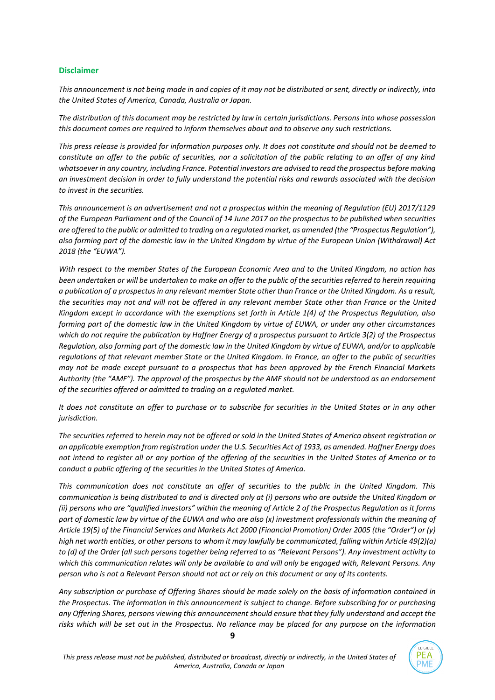#### **Disclaimer**

*This announcement is not being made in and copies of it may not be distributed or sent, directly or indirectly, into the United States of America, Canada, Australia or Japan.*

*The distribution of this document may be restricted by law in certain jurisdictions. Persons into whose possession this document comes are required to inform themselves about and to observe any such restrictions.*

*This press release is provided for information purposes only. It does not constitute and should not be deemed to constitute an offer to the public of securities, nor a solicitation of the public relating to an offer of any kind whatsoever in any country, including France. Potential investors are advised to read the prospectus before making an investment decision in order to fully understand the potential risks and rewards associated with the decision to invest in the securities.*

*This announcement is an advertisement and not a prospectus within the meaning of Regulation (EU) 2017/1129 of the European Parliament and of the Council of 14 June 2017 on the prospectus to be published when securities are offered to the public or admitted to trading on a regulated market, as amended (the "Prospectus Regulation"), also forming part of the domestic law in the United Kingdom by virtue of the European Union (Withdrawal) Act 2018 (the "EUWA").*

*With respect to the member States of the European Economic Area and to the United Kingdom, no action has been undertaken or will be undertaken to make an offer to the public of the securities referred to herein requiring a publication of a prospectus in any relevant member State other than France or the United Kingdom. As a result, the securities may not and will not be offered in any relevant member State other than France or the United Kingdom except in accordance with the exemptions set forth in Article 1(4) of the Prospectus Regulation, also forming part of the domestic law in the United Kingdom by virtue of EUWA, or under any other circumstances which do not require the publication by Haffner Energy of a prospectus pursuant to Article 3(2) of the Prospectus Regulation, also forming part of the domestic law in the United Kingdom by virtue of EUWA, and/or to applicable regulations of that relevant member State or the United Kingdom. In France, an offer to the public of securities may not be made except pursuant to a prospectus that has been approved by the French Financial Markets Authority (the "AMF"). The approval of the prospectus by the AMF should not be understood as an endorsement of the securities offered or admitted to trading on a regulated market.*

*It does not constitute an offer to purchase or to subscribe for securities in the United States or in any other jurisdiction.*

*The securities referred to herein may not be offered or sold in the United States of America absent registration or an applicable exemption from registration under the U.S. Securities Act of 1933, as amended. Haffner Energy does not intend to register all or any portion of the offering of the securities in the United States of America or to conduct a public offering of the securities in the United States of America.* 

*This communication does not constitute an offer of securities to the public in the United Kingdom. This communication is being distributed to and is directed only at (i) persons who are outside the United Kingdom or (ii) persons who are "qualified investors" within the meaning of Article 2 of the Prospectus Regulation as it forms part of domestic law by virtue of the EUWA and who are also (x) investment professionals within the meaning of Article 19(5) of the Financial Services and Markets Act 2000 (Financial Promotion) Order 2005 (the "Order") or (y) high net worth entities, or other persons to whom it may lawfully be communicated, falling within Article 49(2)(a) to (d) of the Order (all such persons together being referred to as "Relevant Persons"). Any investment activity to which this communication relates will only be available to and will only be engaged with, Relevant Persons. Any person who is not a Relevant Person should not act or rely on this document or any of its contents.*

*Any subscription or purchase of Offering Shares should be made solely on the basis of information contained in the Prospectus. The information in this announcement is subject to change. Before subscribing for or purchasing any Offering Shares, persons viewing this announcement should ensure that they fully understand and accept the risks which will be set out in the Prospectus. No reliance may be placed for any purpose on the information*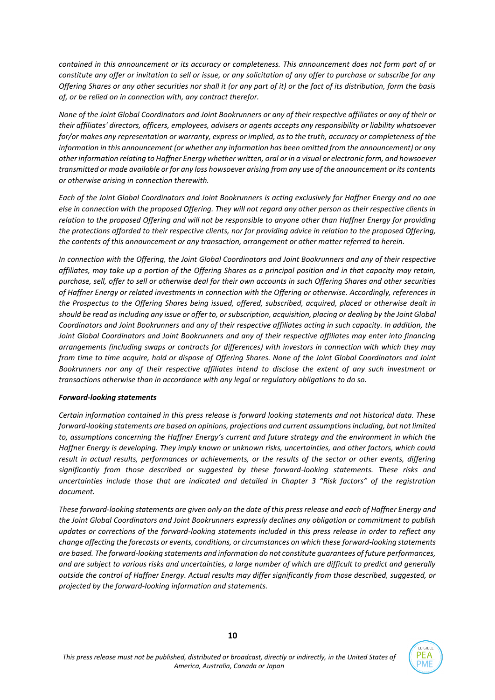*contained in this announcement or its accuracy or completeness. This announcement does not form part of or constitute any offer or invitation to sell or issue, or any solicitation of any offer to purchase or subscribe for any Offering Shares or any other securities nor shall it (or any part of it) or the fact of its distribution, form the basis of, or be relied on in connection with, any contract therefor.*

*None of the Joint Global Coordinators and Joint Bookrunners or any of their respective affiliates or any of their or their affiliates' directors, officers, employees, advisers or agents accepts any responsibility or liability whatsoever for/or makes any representation or warranty, express or implied, as to the truth, accuracy or completeness of the information in this announcement (or whether any information has been omitted from the announcement) or any other information relating to Haffner Energy whether written, oral or in a visual or electronic form, and howsoever transmitted or made available or for any loss howsoever arising from any use of the announcement or its contents or otherwise arising in connection therewith.*

*Each of the Joint Global Coordinators and Joint Bookrunners is acting exclusively for Haffner Energy and no one else in connection with the proposed Offering. They will not regard any other person as their respective clients in relation to the proposed Offering and will not be responsible to anyone other than Haffner Energy for providing the protections afforded to their respective clients, nor for providing advice in relation to the proposed Offering, the contents of this announcement or any transaction, arrangement or other matter referred to herein.*

*In connection with the Offering, the Joint Global Coordinators and Joint Bookrunners and any of their respective affiliates, may take up a portion of the Offering Shares as a principal position and in that capacity may retain, purchase, sell, offer to sell or otherwise deal for their own accounts in such Offering Shares and other securities of Haffner Energy or related investments in connection with the Offering or otherwise. Accordingly, references in the Prospectus to the Offering Shares being issued, offered, subscribed, acquired, placed or otherwise dealt in should be read as including any issue or offer to, or subscription, acquisition, placing or dealing by the Joint Global Coordinators and Joint Bookrunners and any of their respective affiliates acting in such capacity. In addition, the Joint Global Coordinators and Joint Bookrunners and any of their respective affiliates may enter into financing arrangements (including swaps or contracts for differences) with investors in connection with which they may from time to time acquire, hold or dispose of Offering Shares. None of the Joint Global Coordinators and Joint Bookrunners nor any of their respective affiliates intend to disclose the extent of any such investment or transactions otherwise than in accordance with any legal or regulatory obligations to do so.*

#### *Forward-looking statements*

*Certain information contained in this press release is forward looking statements and not historical data. These forward-looking statements are based on opinions, projections and current assumptions including, but not limited to, assumptions concerning the Haffner Energy's current and future strategy and the environment in which the Haffner Energy is developing. They imply known or unknown risks, uncertainties, and other factors, which could result in actual results, performances or achievements, or the results of the sector or other events, differing significantly from those described or suggested by these forward-looking statements. These risks and uncertainties include those that are indicated and detailed in Chapter 3 "Risk factors" of the registration document.* 

*These forward-looking statements are given only on the date of this press release and each of Haffner Energy and the Joint Global Coordinators and Joint Bookrunners expressly declines any obligation or commitment to publish updates or corrections of the forward-looking statements included in this press release in order to reflect any change affecting the forecasts or events, conditions, or circumstances on which these forward-looking statements are based. The forward-looking statements and information do not constitute guarantees of future performances, and are subject to various risks and uncertainties, a large number of which are difficult to predict and generally outside the control of Haffner Energy. Actual results may differ significantly from those described, suggested, or projected by the forward-looking information and statements.*